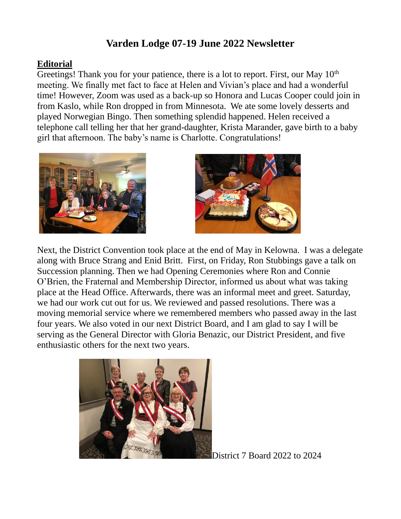# **Varden Lodge 07-19 June 2022 Newsletter**

## **Editorial**

Greetings! Thank you for your patience, there is a lot to report. First, our May 10<sup>th</sup> meeting. We finally met fact to face at Helen and Vivian's place and had a wonderful time! However, Zoom was used as a back-up so Honora and Lucas Cooper could join in from Kaslo, while Ron dropped in from Minnesota. We ate some lovely desserts and played Norwegian Bingo. Then something splendid happened. Helen received a telephone call telling her that her grand-daughter, Krista Marander, gave birth to a baby girl that afternoon. The baby's name is Charlotte. Congratulations!





Next, the District Convention took place at the end of May in Kelowna. I was a delegate along with Bruce Strang and Enid Britt. First, on Friday, Ron Stubbings gave a talk on Succession planning. Then we had Opening Ceremonies where Ron and Connie O'Brien, the Fraternal and Membership Director, informed us about what was taking place at the Head Office. Afterwards, there was an informal meet and greet. Saturday, we had our work cut out for us. We reviewed and passed resolutions. There was a moving memorial service where we remembered members who passed away in the last four years. We also voted in our next District Board, and I am glad to say I will be serving as the General Director with Gloria Benazic, our District President, and five enthusiastic others for the next two years.



District 7 Board 2022 to 2024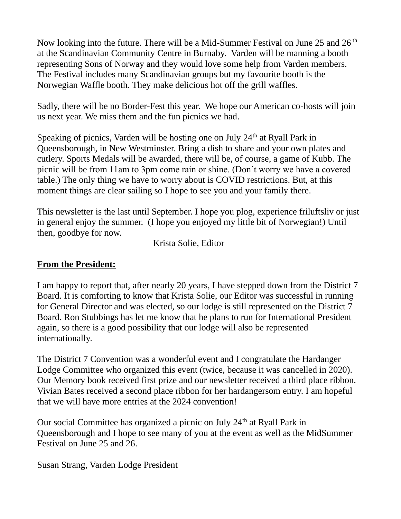Now looking into the future. There will be a Mid-Summer Festival on June 25 and 26<sup>th</sup> at the Scandinavian Community Centre in Burnaby. Varden will be manning a booth representing Sons of Norway and they would love some help from Varden members. The Festival includes many Scandinavian groups but my favourite booth is the Norwegian Waffle booth. They make delicious hot off the grill waffles.

Sadly, there will be no Border-Fest this year. We hope our American co-hosts will join us next year. We miss them and the fun picnics we had.

Speaking of picnics, Varden will be hosting one on July  $24<sup>th</sup>$  at Ryall Park in Queensborough, in New Westminster. Bring a dish to share and your own plates and cutlery. Sports Medals will be awarded, there will be, of course, a game of Kubb. The picnic will be from 11am to 3pm come rain or shine. (Don't worry we have a covered table.) The only thing we have to worry about is COVID restrictions. But, at this moment things are clear sailing so I hope to see you and your family there.

This newsletter is the last until September. I hope you plog, experience friluftsliv or just in general enjoy the summer. (I hope you enjoyed my little bit of Norwegian!) Until then, goodbye for now.

Krista Solie, Editor

## **From the President:**

I am happy to report that, after nearly 20 years, I have stepped down from the District 7 Board. It is comforting to know that Krista Solie, our Editor was successful in running for General Director and was elected, so our lodge is still represented on the District 7 Board. Ron Stubbings has let me know that he plans to run for International President again, so there is a good possibility that our lodge will also be represented internationally.

The District 7 Convention was a wonderful event and I congratulate the Hardanger Lodge Committee who organized this event (twice, because it was cancelled in 2020). Our Memory book received first prize and our newsletter received a third place ribbon. Vivian Bates received a second place ribbon for her hardangersom entry. I am hopeful that we will have more entries at the 2024 convention!

Our social Committee has organized a picnic on July  $24<sup>th</sup>$  at Ryall Park in Queensborough and I hope to see many of you at the event as well as the MidSummer Festival on June 25 and 26.

Susan Strang, Varden Lodge President